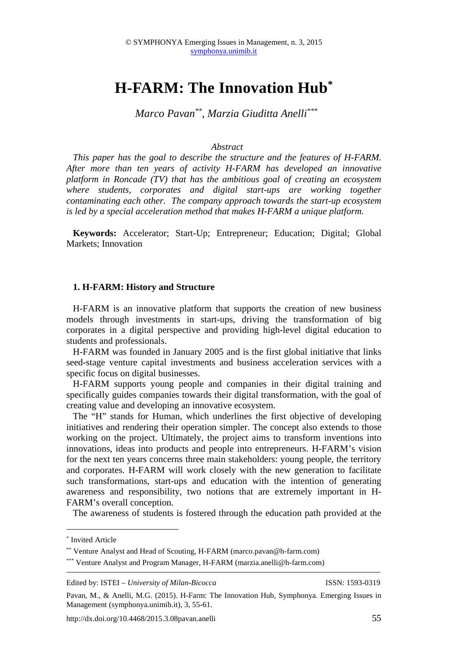# **H-FARM: The Innovation Hub\***

*Marco Pavan\*\*, Marzia Giuditta Anelli\*\*\**

#### *Abstract*

*This paper has the goal to describe the structure and the features of H-FARM. After more than ten years of activity H-FARM has developed an innovative platform in Roncade (TV) that has the ambitious goal of creating an ecosystem where students, corporates and digital start-ups are working together contaminating each other. The company approach towards the start-up ecosystem is led by a special acceleration method that makes H-FARM a unique platform.* 

**Keywords:** Accelerator; Start-Up; Entrepreneur; Education; Digital; Global Markets; Innovation

### **1. H-FARM: History and Structure**

H-FARM is an innovative platform that supports the creation of new business models through investments in start-ups, driving the transformation of big corporates in a digital perspective and providing high-level digital education to students and professionals.

H-FARM was founded in January 2005 and is the first global initiative that links seed-stage venture capital investments and business acceleration services with a specific focus on digital businesses.

H-FARM supports young people and companies in their digital training and specifically guides companies towards their digital transformation, with the goal of creating value and developing an innovative ecosystem.

The "H" stands for Human, which underlines the first objective of developing initiatives and rendering their operation simpler. The concept also extends to those working on the project. Ultimately, the project aims to transform inventions into innovations, ideas into products and people into entrepreneurs. H-FARM's vision for the next ten years concerns three main stakeholders: young people, the territory and corporates. H-FARM will work closely with the new generation to facilitate such transformations, start-ups and education with the intention of generating awareness and responsibility, two notions that are extremely important in H-FARM's overall conception.

The awareness of students is fostered through the education path provided at the

 $\overline{a}$ 

Edited by: ISTEI – *University of Milan-Bicocca* ISSN: 1593-0319

<sup>\*</sup> Invited Article

<sup>\*\*</sup> Venture Analyst and Head of Scouting, H-FARM (marco.pavan@h-farm.com)

<sup>\*\*\*</sup> Venture Analyst and Program Manager, H-FARM (marzia.anelli@h-farm.com)

Pavan, M., & Anelli, M.G. (2015). H-Farm: The Innovation Hub, Symphonya. Emerging Issues in Management (symphonya.unimib.it), 3, 55-61.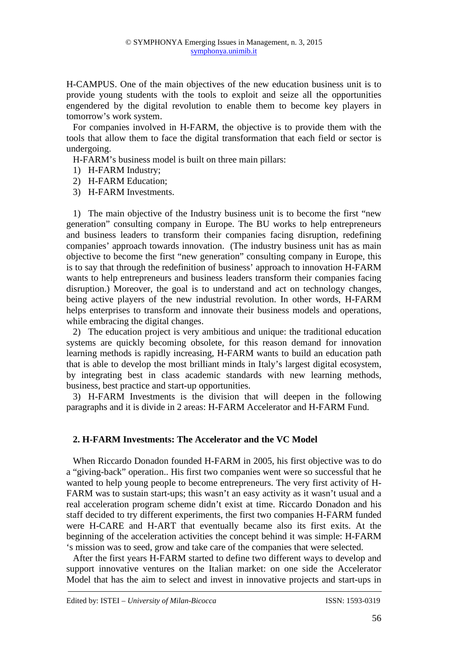H-CAMPUS. One of the main objectives of the new education business unit is to provide young students with the tools to exploit and seize all the opportunities engendered by the digital revolution to enable them to become key players in tomorrow's work system.

For companies involved in H-FARM, the objective is to provide them with the tools that allow them to face the digital transformation that each field or sector is undergoing.

H-FARM's business model is built on three main pillars:

- 1) H-FARM Industry;
- 2) H-FARM Education;
- 3) H-FARM Investments.

1) The main objective of the Industry business unit is to become the first "new generation" consulting company in Europe. The BU works to help entrepreneurs and business leaders to transform their companies facing disruption, redefining companies' approach towards innovation. (The industry business unit has as main objective to become the first "new generation" consulting company in Europe, this is to say that through the redefinition of business' approach to innovation H-FARM wants to help entrepreneurs and business leaders transform their companies facing disruption.) Moreover, the goal is to understand and act on technology changes, being active players of the new industrial revolution. In other words, H-FARM helps enterprises to transform and innovate their business models and operations, while embracing the digital changes.

2) The education project is very ambitious and unique: the traditional education systems are quickly becoming obsolete, for this reason demand for innovation learning methods is rapidly increasing, H-FARM wants to build an education path that is able to develop the most brilliant minds in Italy's largest digital ecosystem, by integrating best in class academic standards with new learning methods, business, best practice and start-up opportunities.

3) H-FARM Investments is the division that will deepen in the following paragraphs and it is divide in 2 areas: H-FARM Accelerator and H-FARM Fund.

# **2. H-FARM Investments: The Accelerator and the VC Model**

When Riccardo Donadon founded H-FARM in 2005, his first objective was to do a "giving-back" operation.. His first two companies went were so successful that he wanted to help young people to become entrepreneurs. The very first activity of H-FARM was to sustain start-ups; this wasn't an easy activity as it wasn't usual and a real acceleration program scheme didn't exist at time. Riccardo Donadon and his staff decided to try different experiments, the first two companies H-FARM funded were H-CARE and H-ART that eventually became also its first exits. At the beginning of the acceleration activities the concept behind it was simple: H-FARM 's mission was to seed, grow and take care of the companies that were selected.

After the first years H-FARM started to define two different ways to develop and support innovative ventures on the Italian market: on one side the Accelerator Model that has the aim to select and invest in innovative projects and start-ups in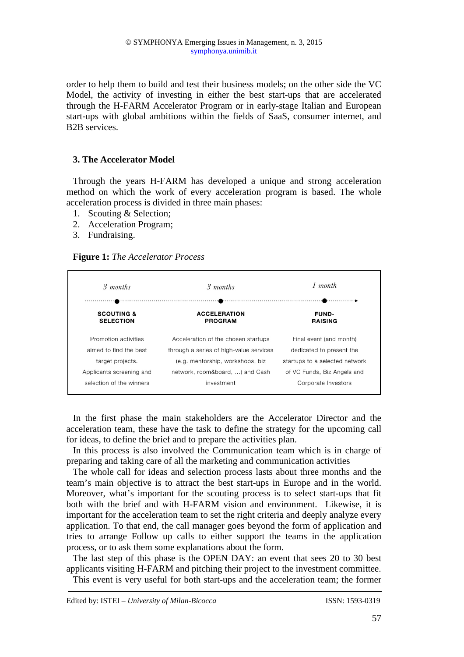order to help them to build and test their business models; on the other side the VC Model, the activity of investing in either the best start-ups that are accelerated through the H-FARM Accelerator Program or in early-stage Italian and European start-ups with global ambitions within the fields of SaaS, consumer internet, and B2B services.

## **3. The Accelerator Model**

Through the years H-FARM has developed a unique and strong acceleration method on which the work of every acceleration program is based. The whole acceleration process is divided in three main phases:

- 1. Scouting & Selection;
- 2. Acceleration Program;
- 3. Fundraising.

## **Figure 1:** *The Accelerator Process*

| 3 months                 | 3 months                                | $1$ month                      |
|--------------------------|-----------------------------------------|--------------------------------|
| <b>SCOUTING &amp;</b>    | <b>ACCELERATION</b>                     | <b>FUND-</b>                   |
| <b>SELECTION</b>         | <b>PROGRAM</b>                          | <b>RAISING</b>                 |
| Promotion activities     | Acceleration of the chosen startups     | Final event (and month)        |
| aimed to find the best   | through a series of high-value services | dedicated to present the       |
| target projects.         | (e.g. mentorship, workshops, biz        | startups to a selected network |
| Applicants screening and | network, room&board, ) and Cash         | of VC Funds, Biz Angels and    |
| selection of the winners | investment                              | Corporate Investors            |

In the first phase the main stakeholders are the Accelerator Director and the acceleration team, these have the task to define the strategy for the upcoming call for ideas, to define the brief and to prepare the activities plan.

In this process is also involved the Communication team which is in charge of preparing and taking care of all the marketing and communication activities

The whole call for ideas and selection process lasts about three months and the team's main objective is to attract the best start-ups in Europe and in the world. Moreover, what's important for the scouting process is to select start-ups that fit both with the brief and with H-FARM vision and environment. Likewise, it is important for the acceleration team to set the right criteria and deeply analyze every application. To that end, the call manager goes beyond the form of application and tries to arrange Follow up calls to either support the teams in the application process, or to ask them some explanations about the form.

The last step of this phase is the OPEN DAY: an event that sees 20 to 30 best applicants visiting H-FARM and pitching their project to the investment committee. This event is very useful for both start-ups and the acceleration team; the former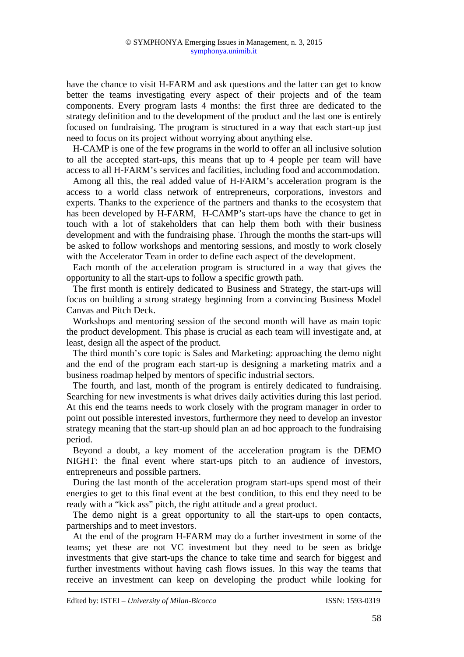have the chance to visit H-FARM and ask questions and the latter can get to know better the teams investigating every aspect of their projects and of the team components. Every program lasts 4 months: the first three are dedicated to the strategy definition and to the development of the product and the last one is entirely focused on fundraising. The program is structured in a way that each start-up just need to focus on its project without worrying about anything else.

H-CAMP is one of the few programs in the world to offer an all inclusive solution to all the accepted start-ups, this means that up to 4 people per team will have access to all H-FARM's services and facilities, including food and accommodation.

Among all this, the real added value of H-FARM's acceleration program is the access to a world class network of entrepreneurs, corporations, investors and experts. Thanks to the experience of the partners and thanks to the ecosystem that has been developed by H-FARM, H-CAMP's start-ups have the chance to get in touch with a lot of stakeholders that can help them both with their business development and with the fundraising phase. Through the months the start-ups will be asked to follow workshops and mentoring sessions, and mostly to work closely with the Accelerator Team in order to define each aspect of the development.

Each month of the acceleration program is structured in a way that gives the opportunity to all the start-ups to follow a specific growth path.

The first month is entirely dedicated to Business and Strategy, the start-ups will focus on building a strong strategy beginning from a convincing Business Model Canvas and Pitch Deck.

Workshops and mentoring session of the second month will have as main topic the product development. This phase is crucial as each team will investigate and, at least, design all the aspect of the product.

The third month's core topic is Sales and Marketing: approaching the demo night and the end of the program each start-up is designing a marketing matrix and a business roadmap helped by mentors of specific industrial sectors.

The fourth, and last, month of the program is entirely dedicated to fundraising. Searching for new investments is what drives daily activities during this last period. At this end the teams needs to work closely with the program manager in order to point out possible interested investors, furthermore they need to develop an investor strategy meaning that the start-up should plan an ad hoc approach to the fundraising period.

Beyond a doubt, a key moment of the acceleration program is the DEMO NIGHT: the final event where start-ups pitch to an audience of investors, entrepreneurs and possible partners.

During the last month of the acceleration program start-ups spend most of their energies to get to this final event at the best condition, to this end they need to be ready with a "kick ass" pitch, the right attitude and a great product.

The demo night is a great opportunity to all the start-ups to open contacts, partnerships and to meet investors.

At the end of the program H-FARM may do a further investment in some of the teams; yet these are not VC investment but they need to be seen as bridge investments that give start-ups the chance to take time and search for biggest and further investments without having cash flows issues. In this way the teams that receive an investment can keep on developing the product while looking for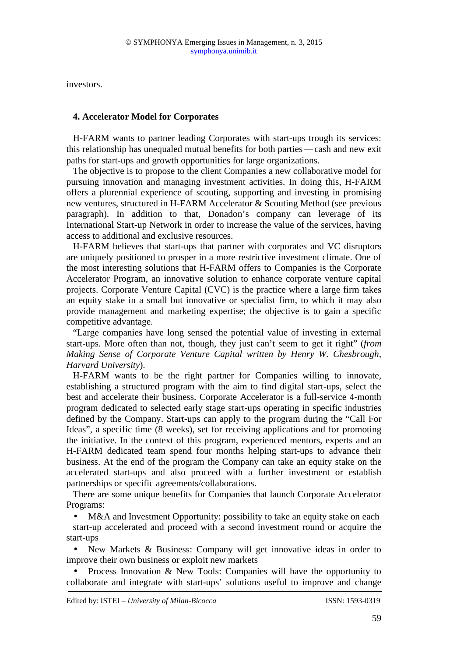investors.

## **4. Accelerator Model for Corporates**

H-FARM wants to partner leading Corporates with start-ups trough its services: this relationship has unequaled mutual benefits for both parties—cash and new exit paths for start-ups and growth opportunities for large organizations.

The objective is to propose to the client Companies a new collaborative model for pursuing innovation and managing investment activities. In doing this, H-FARM offers a plurennial experience of scouting, supporting and investing in promising new ventures, structured in H-FARM Accelerator & Scouting Method (see previous paragraph). In addition to that, Donadon's company can leverage of its International Start-up Network in order to increase the value of the services, having access to additional and exclusive resources.

H-FARM believes that start-ups that partner with corporates and VC disruptors are uniquely positioned to prosper in a more restrictive investment climate. One of the most interesting solutions that H-FARM offers to Companies is the Corporate Accelerator Program, an innovative solution to enhance corporate venture capital projects. Corporate Venture Capital (CVC) is the practice where a large firm takes an equity stake in a small but innovative or specialist firm, to which it may also provide management and marketing expertise; the objective is to gain a specific competitive advantage.

"Large companies have long sensed the potential value of investing in external start-ups. More often than not, though, they just can't seem to get it right" (*from Making Sense of Corporate Venture Capital written by Henry W. Chesbrough, Harvard University*).

H-FARM wants to be the right partner for Companies willing to innovate, establishing a structured program with the aim to find digital start-ups, select the best and accelerate their business. Corporate Accelerator is a full-service 4-month program dedicated to selected early stage start-ups operating in specific industries defined by the Company. Start-ups can apply to the program during the "Call For Ideas", a specific time (8 weeks), set for receiving applications and for promoting the initiative. In the context of this program, experienced mentors, experts and an H-FARM dedicated team spend four months helping start-ups to advance their business. At the end of the program the Company can take an equity stake on the accelerated start-ups and also proceed with a further investment or establish partnerships or specific agreements/collaborations.

There are some unique benefits for Companies that launch Corporate Accelerator Programs:

• M&A and Investment Opportunity: possibility to take an equity stake on each start-up accelerated and proceed with a second investment round or acquire the start-ups

• New Markets & Business: Company will get innovative ideas in order to improve their own business or exploit new markets

• Process Innovation & New Tools: Companies will have the opportunity to collaborate and integrate with start-ups' solutions useful to improve and change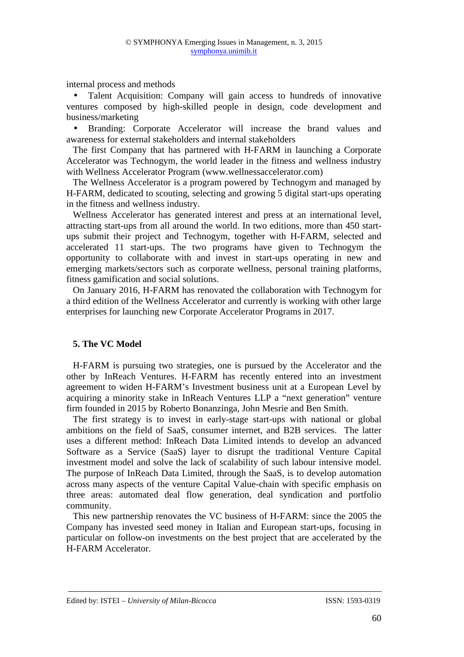internal process and methods

• Talent Acquisition: Company will gain access to hundreds of innovative ventures composed by high-skilled people in design, code development and business/marketing

• Branding: Corporate Accelerator will increase the brand values and awareness for external stakeholders and internal stakeholders

The first Company that has partnered with H-FARM in launching a Corporate Accelerator was Technogym, the world leader in the fitness and wellness industry with Wellness Accelerator Program (www.wellnessaccelerator.com)

The Wellness Accelerator is a program powered by Technogym and managed by H-FARM, dedicated to scouting, selecting and growing 5 digital start-ups operating in the fitness and wellness industry.

Wellness Accelerator has generated interest and press at an international level, attracting start-ups from all around the world. In two editions, more than 450 startups submit their project and Technogym, together with H-FARM, selected and accelerated 11 start-ups. The two programs have given to Technogym the opportunity to collaborate with and invest in start-ups operating in new and emerging markets/sectors such as corporate wellness, personal training platforms, fitness gamification and social solutions.

On January 2016, H-FARM has renovated the collaboration with Technogym for a third edition of the Wellness Accelerator and currently is working with other large enterprises for launching new Corporate Accelerator Programs in 2017.

## **5. The VC Model**

H-FARM is pursuing two strategies, one is pursued by the Accelerator and the other by InReach Ventures. H-FARM has recently entered into an investment agreement to widen H-FARM's Investment business unit at a European Level by acquiring a minority stake in InReach Ventures LLP a "next generation" venture firm founded in 2015 by Roberto Bonanzinga, John Mesrie and Ben Smith.

The first strategy is to invest in early-stage start-ups with national or global ambitions on the field of SaaS, consumer internet, and B2B services. The latter uses a different method: InReach Data Limited intends to develop an advanced Software as a Service (SaaS) layer to disrupt the traditional Venture Capital investment model and solve the lack of scalability of such labour intensive model. The purpose of InReach Data Limited, through the SaaS, is to develop automation across many aspects of the venture Capital Value-chain with specific emphasis on three areas: automated deal flow generation, deal syndication and portfolio community.

This new partnership renovates the VC business of H-FARM: since the 2005 the Company has invested seed money in Italian and European start-ups, focusing in particular on follow-on investments on the best project that are accelerated by the H-FARM Accelerator.